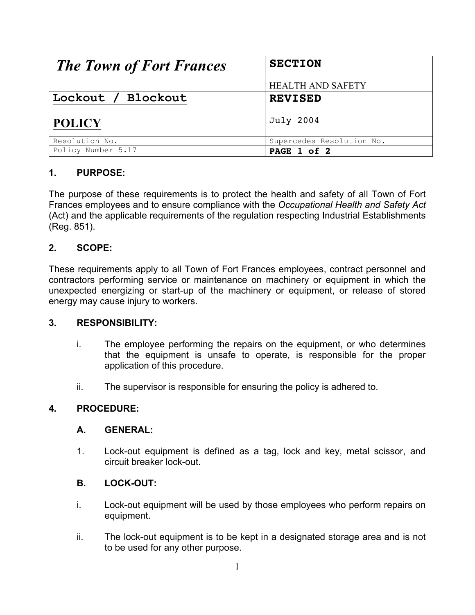| <b>The Town of Fort Frances</b> | <b>SECTION</b>            |
|---------------------------------|---------------------------|
|                                 | <b>HEALTH AND SAFETY</b>  |
| Lockout / Blockout              | <b>REVISED</b>            |
| <b>POLICY</b>                   | July 2004                 |
| Resolution No.                  | Supercedes Resolution No. |
| Policy Number 5.17              | PAGE 1 of 2               |

# **1. PURPOSE:**

The purpose of these requirements is to protect the health and safety of all Town of Fort Frances employees and to ensure compliance with the *Occupational Health and Safety Act* (Act) and the applicable requirements of the regulation respecting Industrial Establishments (Reg. 851).

# **2. SCOPE:**

These requirements apply to all Town of Fort Frances employees, contract personnel and contractors performing service or maintenance on machinery or equipment in which the unexpected energizing or start-up of the machinery or equipment, or release of stored energy may cause injury to workers.

## **3. RESPONSIBILITY:**

- i. The employee performing the repairs on the equipment, or who determines that the equipment is unsafe to operate, is responsible for the proper application of this procedure.
- ii. The supervisor is responsible for ensuring the policy is adhered to.

## **4. PROCEDURE:**

## **A. GENERAL:**

1. Lock-out equipment is defined as a tag, lock and key, metal scissor, and circuit breaker lock-out.

## **B. LOCK-OUT:**

- i. Lock-out equipment will be used by those employees who perform repairs on equipment.
- ii. The lock-out equipment is to be kept in a designated storage area and is not to be used for any other purpose.